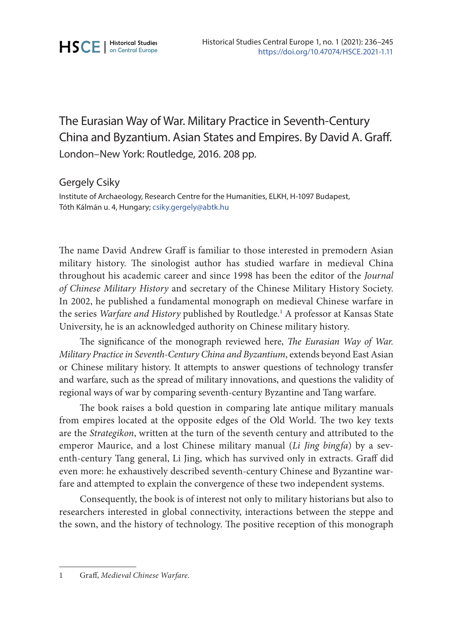## The Eurasian Way of War. Military Practice in Seventh-Century China and Byzantium. Asian States and Empires. By David A. Graff. London–New York: Routledge, 2016. 208 pp.

## Gergely Csiky

Institute of Archaeology, Research Centre for the Humanities, ELKH, H-1097 Budapest, Tóth Kálmán u. 4, Hungary; [csiky.gergely@abtk.hu](mailto:csiky.gergely@abtk.hu)

The name David Andrew Graff is familiar to those interested in premodern Asian military history. The sinologist author has studied warfare in medieval China throughout his academic career and since 1998 has been the editor of the *Journal of Chinese Military History* and secretary of the Chinese Military History Society. In 2002, he published a fundamental monograph on medieval Chinese warfare in the series *Warfare and History* published by Routledge.<sup>1</sup> A professor at Kansas State University, he is an acknowledged authority on Chinese military history.

The significance of the monograph reviewed here, *The Eurasian Way of War. Military Practice in Seventh-Century China and Byzantium*, extends beyond East Asian or Chinese military history. It attempts to answer questions of technology transfer and warfare, such as the spread of military innovations, and questions the validity of regional ways of war by comparing seventh-century Byzantine and Tang warfare.

The book raises a bold question in comparing late antique military manuals from empires located at the opposite edges of the Old World. The two key texts are the *Strategikon*, written at the turn of the seventh century and attributed to the emperor Maurice, and a lost Chinese military manual (*Li Jing bingfa*) by a seventh-century Tang general, Li Jing, which has survived only in extracts. Graff did even more: he exhaustively described seventh-century Chinese and Byzantine warfare and attempted to explain the convergence of these two independent systems.

Consequently, the book is of interest not only to military historians but also to researchers interested in global connectivity, interactions between the steppe and the sown, and the history of technology. The positive reception of this monograph

<sup>1</sup> Graff, *Medieval Chinese Warfare.*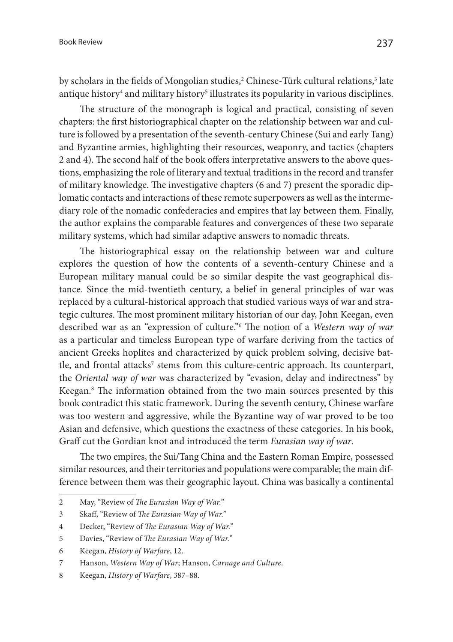by scholars in the fields of Mongolian studies,<sup>2</sup> Chinese-Türk cultural relations,<sup>3</sup> late antique history<sup>4</sup> and military history<sup>5</sup> illustrates its popularity in various disciplines.

The structure of the monograph is logical and practical, consisting of seven chapters: the first historiographical chapter on the relationship between war and culture is followed by a presentation of the seventh-century Chinese (Sui and early Tang) and Byzantine armies, highlighting their resources, weaponry, and tactics (chapters 2 and 4). The second half of the book offers interpretative answers to the above questions, emphasizing the role of literary and textual traditions in the record and transfer of military knowledge. The investigative chapters (6 and 7) present the sporadic diplomatic contacts and interactions of these remote superpowers as well as the intermediary role of the nomadic confederacies and empires that lay between them. Finally, the author explains the comparable features and convergences of these two separate military systems, which had similar adaptive answers to nomadic threats.

The historiographical essay on the relationship between war and culture explores the question of how the contents of a seventh-century Chinese and a European military manual could be so similar despite the vast geographical distance. Since the mid-twentieth century, a belief in general principles of war was replaced by a cultural-historical approach that studied various ways of war and strategic cultures. The most prominent military historian of our day, John Keegan, even described war as an "expression of culture."6 The notion of a *Western way of war* as a particular and timeless European type of warfare deriving from the tactics of ancient Greeks hoplites and characterized by quick problem solving, decisive battle, and frontal attacks<sup>7</sup> stems from this culture-centric approach. Its counterpart, the *Oriental way of war* was characterized by "evasion, delay and indirectness" by Keegan.8 The information obtained from the two main sources presented by this book contradict this static framework. During the seventh century, Chinese warfare was too western and aggressive, while the Byzantine way of war proved to be too Asian and defensive, which questions the exactness of these categories. In his book, Graff cut the Gordian knot and introduced the term *Eurasian way of war*.

The two empires, the Sui/Tang China and the Eastern Roman Empire, possessed similar resources, and their territories and populations were comparable; the main difference between them was their geographic layout. China was basically a continental

<sup>2</sup> May, "Review of *The Eurasian Way of War.*"

<sup>3</sup> Skaff, "Review of *The Eurasian Way of War.*"

<sup>4</sup> Decker, "Review of *The Eurasian Way of War.*"

<sup>5</sup> Davies, "Review of *The Eurasian Way of War.*"

<sup>6</sup> Keegan, *History of Warfare*, 12.

<sup>7</sup> Hanson, *Western Way of War*; Hanson, *Carnage and Culture*.

<sup>8</sup> Keegan, *History of Warfare*, 387–88.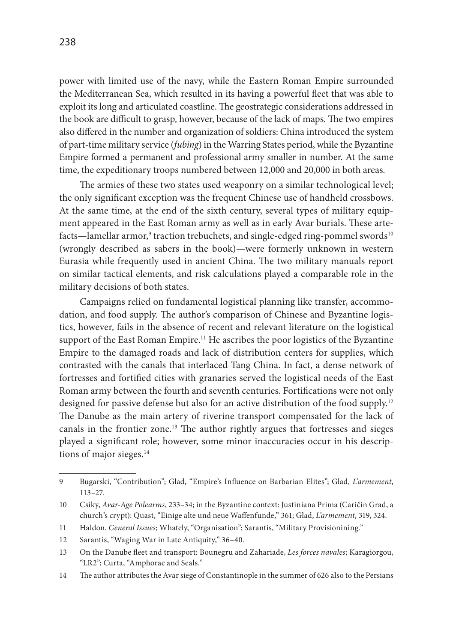power with limited use of the navy, while the Eastern Roman Empire surrounded the Mediterranean Sea, which resulted in its having a powerful fleet that was able to exploit its long and articulated coastline. The geostrategic considerations addressed in the book are difficult to grasp, however, because of the lack of maps. The two empires also differed in the number and organization of soldiers: China introduced the system of part-time military service (*fubing*) in the Warring States period, while the Byzantine Empire formed a permanent and professional army smaller in number. At the same time, the expeditionary troops numbered between 12,000 and 20,000 in both areas.

The armies of these two states used weaponry on a similar technological level; the only significant exception was the frequent Chinese use of handheld crossbows. At the same time, at the end of the sixth century, several types of military equipment appeared in the East Roman army as well as in early Avar burials. These artefacts—lamellar armor, $^{\rm 9}$  traction trebuchets, and single-edged ring-pommel swords $^{\rm 10}$ (wrongly described as sabers in the book)—were formerly unknown in western Eurasia while frequently used in ancient China. The two military manuals report on similar tactical elements, and risk calculations played a comparable role in the military decisions of both states.

Campaigns relied on fundamental logistical planning like transfer, accommodation, and food supply. The author's comparison of Chinese and Byzantine logistics, however, fails in the absence of recent and relevant literature on the logistical support of the East Roman Empire.<sup>11</sup> He ascribes the poor logistics of the Byzantine Empire to the damaged roads and lack of distribution centers for supplies, which contrasted with the canals that interlaced Tang China. In fact, a dense network of fortresses and fortified cities with granaries served the logistical needs of the East Roman army between the fourth and seventh centuries. Fortifications were not only designed for passive defense but also for an active distribution of the food supply.<sup>12</sup> The Danube as the main artery of riverine transport compensated for the lack of canals in the frontier zone.13 The author rightly argues that fortresses and sieges played a significant role; however, some minor inaccuracies occur in his descriptions of major sieges. $14$ 

<sup>9</sup> Bugarski, "Contribution"; Glad, "Empire's Influence on Barbarian Elites"; Glad, *L'armement*, 113–27.

<sup>10</sup> Csiky, *Avar-Age Polearms*, 233–34; in the Byzantine context: Justiniana Prima (Caričin Grad, a church's crypt): Quast, "Einige alte und neue Waffenfunde," 361; Glad, *L'armement*, 319, 324.

<sup>11</sup> Haldon, *General Issues*; Whately, "Organisation"; Sarantis, "Military Provisionining."

<sup>12</sup> Sarantis, "Waging War in Late Antiquity," 36–40.

<sup>13</sup> On the Danube fleet and transport: Bounegru and Zahariade, *Les forces navales*; Karagiorgou, "LR2"; Curta, "Amphorae and Seals."

<sup>14</sup> The author attributes the Avar siege of Constantinople in the summer of 626 also to the Persians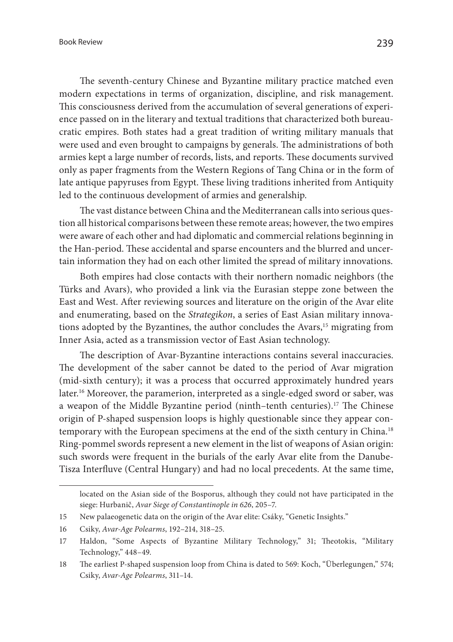The seventh-century Chinese and Byzantine military practice matched even modern expectations in terms of organization, discipline, and risk management. This consciousness derived from the accumulation of several generations of experience passed on in the literary and textual traditions that characterized both bureaucratic empires. Both states had a great tradition of writing military manuals that were used and even brought to campaigns by generals. The administrations of both armies kept a large number of records, lists, and reports. These documents survived only as paper fragments from the Western Regions of Tang China or in the form of late antique papyruses from Egypt. These living traditions inherited from Antiquity led to the continuous development of armies and generalship.

The vast distance between China and the Mediterranean calls into serious question all historical comparisons between these remote areas; however, the two empires were aware of each other and had diplomatic and commercial relations beginning in the Han-period. These accidental and sparse encounters and the blurred and uncertain information they had on each other limited the spread of military innovations.

Both empires had close contacts with their northern nomadic neighbors (the Türks and Avars), who provided a link via the Eurasian steppe zone between the East and West. After reviewing sources and literature on the origin of the Avar elite and enumerating, based on the *Strategikon*, a series of East Asian military innovations adopted by the Byzantines, the author concludes the Avars,<sup>15</sup> migrating from Inner Asia, acted as a transmission vector of East Asian technology.

The description of Avar-Byzantine interactions contains several inaccuracies. The development of the saber cannot be dated to the period of Avar migration (mid-sixth century); it was a process that occurred approximately hundred years later.<sup>16</sup> Moreover, the paramerion, interpreted as a single-edged sword or saber, was a weapon of the Middle Byzantine period (ninth–tenth centuries).17 The Chinese origin of P-shaped suspension loops is highly questionable since they appear contemporary with the European specimens at the end of the sixth century in China.18 Ring-pommel swords represent a new element in the list of weapons of Asian origin: such swords were frequent in the burials of the early Avar elite from the Danube-Tisza Interfluve (Central Hungary) and had no local precedents. At the same time,

located on the Asian side of the Bosporus, although they could not have participated in the siege: Hurbanič, *Avar Siege of Constantinople in 626*, 205–7.

<sup>15</sup> New palaeogenetic data on the origin of the Avar elite: Csáky, "Genetic Insights."

<sup>16</sup> Csiky, *Avar-Age Polearms*, 192–214, 318–25.

<sup>17</sup> Haldon, "Some Aspects of Byzantine Military Technology," 31; Theotokis, "Military Technology," 448–49.

<sup>18</sup> The earliest P-shaped suspension loop from China is dated to 569: Koch, "Überlegungen," 574; Csiky, *Avar-Age Polearms*, 311–14.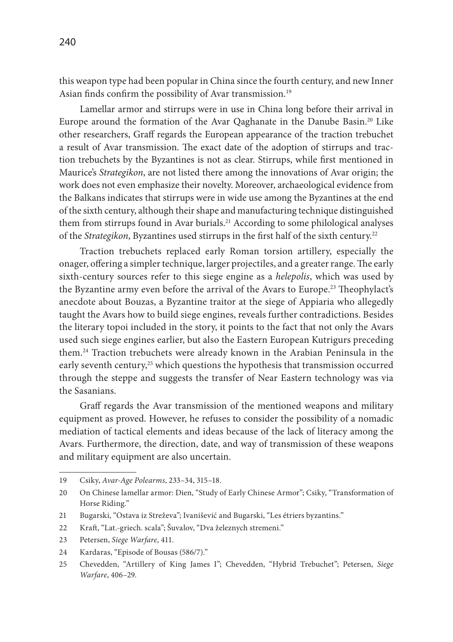this weapon type had been popular in China since the fourth century, and new Inner Asian finds confirm the possibility of Avar transmission.<sup>19</sup>

Lamellar armor and stirrups were in use in China long before their arrival in Europe around the formation of the Avar Qaghanate in the Danube Basin.20 Like other researchers, Graff regards the European appearance of the traction trebuchet a result of Avar transmission. The exact date of the adoption of stirrups and traction trebuchets by the Byzantines is not as clear. Stirrups, while first mentioned in Maurice's *Strategikon*, are not listed there among the innovations of Avar origin; the work does not even emphasize their novelty. Moreover, archaeological evidence from the Balkans indicates that stirrups were in wide use among the Byzantines at the end of the sixth century, although their shape and manufacturing technique distinguished them from stirrups found in Avar burials.<sup>21</sup> According to some philological analyses of the *Strategikon*, Byzantines used stirrups in the first half of the sixth century.<sup>22</sup>

Traction trebuchets replaced early Roman torsion artillery, especially the onager, offering a simpler technique, larger projectiles, and a greater range. The early sixth-century sources refer to this siege engine as a *helepolis*, which was used by the Byzantine army even before the arrival of the Avars to Europe.<sup>23</sup> Theophylact's anecdote about Bouzas, a Byzantine traitor at the siege of Appiaria who allegedly taught the Avars how to build siege engines, reveals further contradictions. Besides the literary topoi included in the story, it points to the fact that not only the Avars used such siege engines earlier, but also the Eastern European Kutrigurs preceding them.24 Traction trebuchets were already known in the Arabian Peninsula in the early seventh century,<sup>25</sup> which questions the hypothesis that transmission occurred through the steppe and suggests the transfer of Near Eastern technology was via the Sasanians.

Graff regards the Avar transmission of the mentioned weapons and military equipment as proved. However, he refuses to consider the possibility of a nomadic mediation of tactical elements and ideas because of the lack of literacy among the Avars. Furthermore, the direction, date, and way of transmission of these weapons and military equipment are also uncertain.

<sup>19</sup> Csiky, *Avar-Age Polearms*, 233–34, 315–18.

<sup>20</sup> On Chinese lamellar armor: Dien, "Study of Early Chinese Armor"; Csiky, "Transformation of Horse Riding."

<sup>21</sup> Bugarski, "Ostava iz Streževa"; Ivanišević and Bugarski, "Les étriers byzantins."

<sup>22</sup> Kraft, "Lat.-griech. scala"; Šuvalov, "Dva železnych stremeni."

<sup>23</sup> Petersen, *Siege Warfare*, 411.

<sup>24</sup> Kardaras, "Episode of Bousas (586/7)."

<sup>25</sup> Chevedden, "Artillery of King James I"; Chevedden, "Hybrid Trebuchet"; Petersen, *Siege Warfare*, 406–29.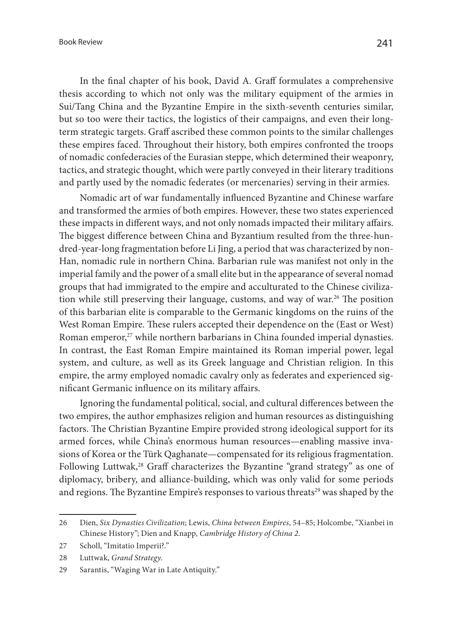In the final chapter of his book, David A. Graff formulates a comprehensive thesis according to which not only was the military equipment of the armies in Sui/Tang China and the Byzantine Empire in the sixth-seventh centuries similar, but so too were their tactics, the logistics of their campaigns, and even their longterm strategic targets. Graff ascribed these common points to the similar challenges these empires faced. Throughout their history, both empires confronted the troops of nomadic confederacies of the Eurasian steppe, which determined their weaponry, tactics, and strategic thought, which were partly conveyed in their literary traditions and partly used by the nomadic federates (or mercenaries) serving in their armies.

Nomadic art of war fundamentally influenced Byzantine and Chinese warfare and transformed the armies of both empires. However, these two states experienced these impacts in different ways, and not only nomads impacted their military affairs. The biggest difference between China and Byzantium resulted from the three-hundred-year-long fragmentation before Li Jing, a period that was characterized by non-Han, nomadic rule in northern China. Barbarian rule was manifest not only in the imperial family and the power of a small elite but in the appearance of several nomad groups that had immigrated to the empire and acculturated to the Chinese civilization while still preserving their language, customs, and way of war.<sup>26</sup> The position of this barbarian elite is comparable to the Germanic kingdoms on the ruins of the West Roman Empire. These rulers accepted their dependence on the (East or West) Roman emperor,<sup>27</sup> while northern barbarians in China founded imperial dynasties. In contrast, the East Roman Empire maintained its Roman imperial power, legal system, and culture, as well as its Greek language and Christian religion. In this empire, the army employed nomadic cavalry only as federates and experienced significant Germanic influence on its military affairs.

Ignoring the fundamental political, social, and cultural differences between the two empires, the author emphasizes religion and human resources as distinguishing factors. The Christian Byzantine Empire provided strong ideological support for its armed forces, while China's enormous human resources—enabling massive invasions of Korea or the Türk Qaghanate—compensated for its religious fragmentation. Following Luttwak,<sup>28</sup> Graff characterizes the Byzantine "grand strategy" as one of diplomacy, bribery, and alliance-building, which was only valid for some periods and regions. The Byzantine Empire's responses to various threats<sup>29</sup> was shaped by the

<sup>26</sup> Dien, *Six Dynasties Civilization*; Lewis, *China between Empires*, 54–85; Holcombe, "Xianbei in Chinese History"; Dien and Knapp, *Cambridge History of China 2*.

<sup>27</sup> Scholl, "Imitatio Imperii?."

<sup>28</sup> Luttwak, *Grand Strategy*.

<sup>29</sup> Sarantis, "Waging War in Late Antiquity."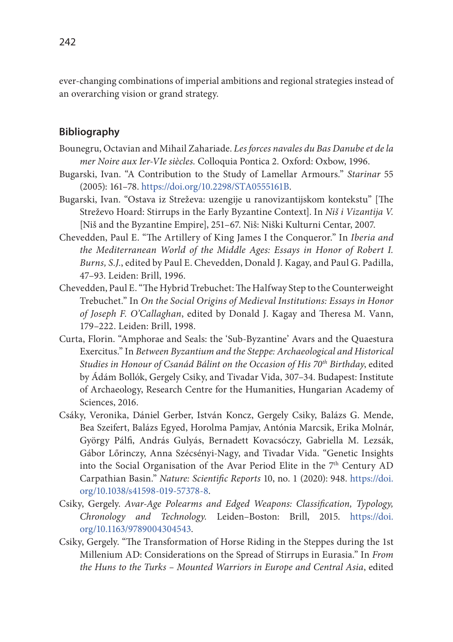ever-changing combinations of imperial ambitions and regional strategies instead of an overarching vision or grand strategy.

## **Bibliography**

- Bounegru, Octavian and Mihail Zahariade. *Les forces navales du Bas Danube et de la mer Noire aux Ier-VIe siècles.* Colloquia Pontica 2*.* Oxford: Oxbow, 1996.
- Bugarski, Ivan. "A Contribution to the Study of Lamellar Armours." *Starinar* 55 (2005): 161–78. [https://doi.org/10.2298/STA0555161B.](https://doi.org/10.2298/STA0555161B)
- Bugarski, Ivan. "Ostava iz Streževa: uzengije u ranovizantijskom kontekstu" [The Streževo Hoard: Stirrups in the Early Byzantine Context]. In *Niš i Vizantija V.* [Niš and the Byzantine Empire], 251–67. Niš: Niški Kulturni Centar, 2007.
- Chevedden, Paul E. "The Artillery of King James I the Conqueror." In *Iberia and the Mediterranean World of the Middle Ages: Essays in Honor of Robert I. Burns, S.J.*, edited by Paul E. Chevedden, Donald J. Kagay, and Paul G. Padilla, 47–93. Leiden: Brill, 1996.
- Chevedden, Paul E. "The Hybrid Trebuchet: The Halfway Step to the Counterweight Trebuchet." In *On the Social Origins of Medieval Institutions: Essays in Honor of Joseph F. O'Callaghan*, edited by Donald J. Kagay and Theresa M. Vann, 179–222. Leiden: Brill, 1998.
- Curta, Florin. "Amphorae and Seals: the 'Sub-Byzantine' Avars and the Quaestura Exercitus." In *Between Byzantium and the Steppe: Archaeological and Historical Studies in Honour of Csanád Bálint on the Occasion of His 70th Birthday*, edited by Ádám Bollók, Gergely Csiky, and Tivadar Vida, 307–34. Budapest: Institute of Archaeology, Research Centre for the Humanities, Hungarian Academy of Sciences, 2016.
- Csáky, Veronika, Dániel Gerber, István Koncz, Gergely Csiky, Balázs G. Mende, Bea Szeifert, Balázs Egyed, Horolma Pamjav, Antónia Marcsik, Erika Molnár, György Pálfi, András Gulyás, Bernadett Kovacsóczy, Gabriella M. Lezsák, Gábor Lőrinczy, Anna Szécsényi-Nagy, and Tivadar Vida. "Genetic Insights into the Social Organisation of the Avar Period Elite in the 7<sup>th</sup> Century AD Carpathian Basin." *Nature: Scientific Reports* 10, no. 1 (2020): 948. [https://doi.](https://doi.org/10.1038/s41598-019-57378-8) [org/10.1038/s41598-019-57378-8.](https://doi.org/10.1038/s41598-019-57378-8)
- Csiky, Gergely. *Avar-Age Polearms and Edged Weapons: Classification, Typology, Chronology and Technology.* Leiden–Boston: Brill, 2015. [https://doi.](https://doi.org/10.1163/9789004304543) [org/10.1163/9789004304543.](https://doi.org/10.1163/9789004304543)
- Csiky, Gergely. "The Transformation of Horse Riding in the Steppes during the 1st Millenium AD: Considerations on the Spread of Stirrups in Eurasia." In *From the Huns to the Turks – Mounted Warriors in Europe and Central Asia*, edited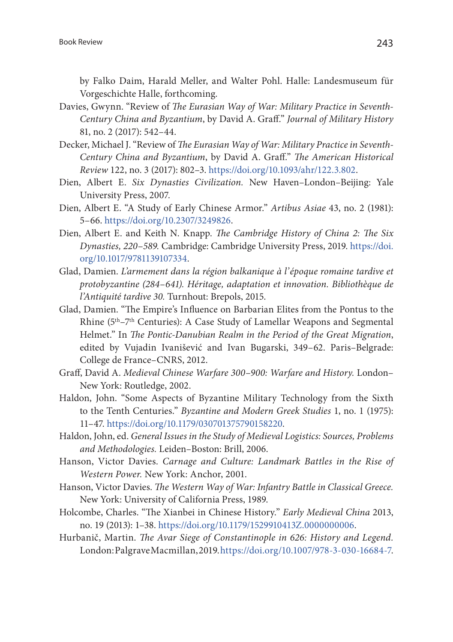by Falko Daim, Harald Meller, and Walter Pohl. Halle: Landesmuseum für Vorgeschichte Halle, forthcoming.

- Davies, Gwynn. "Review of *The Eurasian Way of War: Military Practice in Seventh-Century China and Byzantium*, by David A. Graff." *Journal of Military History* 81, no. 2 (2017): 542–44.
- Decker, Michael J. "Review of *The Eurasian Way of War: Military Practice in Seventh-Century China and Byzantium*, by David A. Graff." *The American Historical Review* 122, no. 3 (2017): 802–3.<https://doi.org/10.1093/ahr/122.3.802>.
- Dien, Albert E. *Six Dynasties Civilization.* New Haven–London–Beijing: Yale University Press, 2007.
- Dien, Albert E. "A Study of Early Chinese Armor." *Artibus Asiae* 43, no. 2 (1981): 5–66.<https://doi.org/10.2307/3249826>.
- Dien, Albert E. and Keith N. Knapp. *The Cambridge History of China 2: The Six Dynasties, 220*–*589.* Cambridge: Cambridge University Press, 2019. [https://doi.](https://doi.org/10.1017/9781139107334) [org/10.1017/9781139107334](https://doi.org/10.1017/9781139107334).
- Glad, Damien. *L'armement dans la région balkanique à l'époque romaine tardive et protobyzantine (284*–*641). Héritage, adaptation et innovation. Bibliothèque de l'Antiquité tardive 30.* Turnhout: Brepols, 2015.
- Glad, Damien. "The Empire's Influence on Barbarian Elites from the Pontus to the Rhine (5<sup>th</sup>–7<sup>th</sup> Centuries): A Case Study of Lamellar Weapons and Segmental Helmet." In *The Pontic-Danubian Realm in the Period of the Great Migration*, edited by Vujadin Ivanišević and Ivan Bugarski, 349–62. Paris–Belgrade: College de France–CNRS, 2012.
- Graff, David A. *Medieval Chinese Warfare 300*–*900: Warfare and History.* London– New York: Routledge, 2002.
- Haldon, John. "Some Aspects of Byzantine Military Technology from the Sixth to the Tenth Centuries." *Byzantine and Modern Greek Studies* 1, no. 1 (1975): 11–47. <https://doi.org/10.1179/030701375790158220>.
- Haldon, John, ed. *General Issues in the Study of Medieval Logistics: Sources, Problems and Methodologies.* Leiden–Boston: Brill, 2006.
- Hanson, Victor Davies. *Carnage and Culture: Landmark Battles in the Rise of Western Power.* New York: Anchor, 2001.
- Hanson, Victor Davies. *The Western Way of War: Infantry Battle in Classical Greece.* New York: University of California Press, 1989.
- Holcombe, Charles. "The Xianbei in Chinese History." *Early Medieval China* 2013, no. 19 (2013): 1–38. [https://doi.org/10.1179/1529910413Z.0000000006.](https://doi.org/10.1179/1529910413Z.0000000006)
- Hurbanič, Martin. *The Avar Siege of Constantinople in 626: History and Legend.* London: Palgrave Macmillan, 2019.<https://doi.org/10.1007/978-3-030-16684-7>.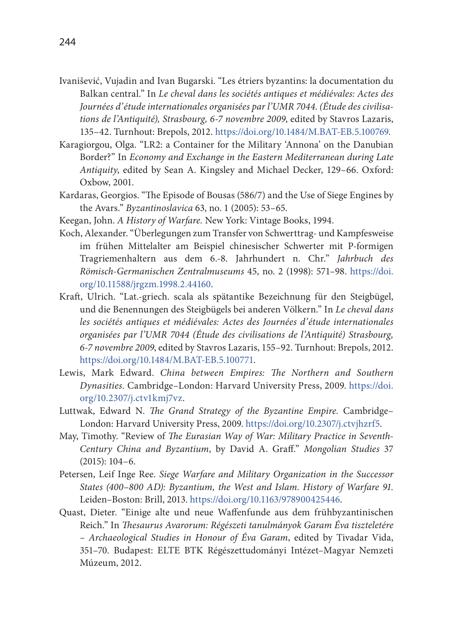- Ivanišević, Vujadin and Ivan Bugarski. "Les étriers byzantins: la documentation du Balkan central." In *Le cheval dans les sociétés antiques et médiévales: Actes des Journées d'étude internationales organisées par l'UMR 7044*. *(Étude des civilisations de l'Antiquité), Strasbourg, 6-7 novembre 2009*, edited by Stavros Lazaris, 135–42. Turnhout: Brepols, 2012.<https://doi.org/10.1484/M.BAT-EB.5.100769>.
- Karagiorgou, Olga. "LR2: a Container for the Military 'Annona' on the Danubian Border?" In *Economy and Exchange in the Eastern Mediterranean during Late Antiquity*, edited by Sean A. Kingsley and Michael Decker, 129–66. Oxford: Oxbow, 2001.
- Kardaras, Georgios. "The Episode of Bousas (586/7) and the Use of Siege Engines by the Avars." *Byzantinoslavica* 63, no. 1 (2005): 53–65.
- Keegan, John. *A History of Warfare.* New York: Vintage Books, 1994.
- Koch, Alexander. "Überlegungen zum Transfer von Schwerttrag- und Kampfesweise im frühen Mittelalter am Beispiel chinesischer Schwerter mit P-formigen Tragriemenhaltern aus dem 6.-8. Jahrhundert n. Chr." *Jahrbuch des Römisch-Germanischen Zentralmuseums* 45, no. 2 (1998): 571–98. [https://doi.](https://doi.org/10.11588/jrgzm.1998.2.44160) [org/10.11588/jrgzm.1998.2.44160](https://doi.org/10.11588/jrgzm.1998.2.44160).
- Kraft, Ulrich. "Lat.-griech. scala als spätantike Bezeichnung für den Steigbügel, und die Benennungen des Steigbügels bei anderen Völkern." In *Le cheval dans les sociétés antiques et médiévales: Actes des Journées d'étude internationales organisées par l'UMR 7044 (Étude des civilisations de l'Antiquité) Strasbourg, 6-7 novembre 2009*, edited by Stavros Lazaris, 155–92. Turnhout: Brepols, 2012. <https://doi.org/10.1484/M.BAT-EB.5.100771>.
- Lewis, Mark Edward. *China between Empires: The Northern and Southern Dynasities.* Cambridge–London: Harvard University Press, 2009. [https://doi.](https://doi.org/10.2307/j.ctv1kmj7vz) [org/10.2307/j.ctv1kmj7vz](https://doi.org/10.2307/j.ctv1kmj7vz).
- Luttwak, Edward N. *The Grand Strategy of the Byzantine Empire.* Cambridge– London: Harvard University Press, 2009. [https://doi.org/10.2307/j.ctvjhzrf5.](https://doi.org/10.2307/j.ctvjhzrf5)
- May, Timothy. "Review of *The Eurasian Way of War: Military Practice in Seventh-Century China and Byzantium*, by David A. Graff." *Mongolian Studies* 37 (2015): 104–6.
- Petersen, Leif Inge Ree. *Siege Warfare and Military Organization in the Successor States (400–800 AD): Byzantium, the West and Islam. History of Warfare 91.* Leiden–Boston: Brill, 2013. [https://doi.org/10.1163/978900425446.](https://doi.org/10.1163/978900425446)
- Quast, Dieter. "Einige alte und neue Waffenfunde aus dem frühbyzantinischen Reich." In *Thesaurus Avarorum: Régészeti tanulmányok Garam Éva tiszteletére – Archaeological Studies in Honour of Éva Garam*, edited by Tivadar Vida, 351–70. Budapest: ELTE BTK Régészettudományi Intézet–Magyar Nemzeti Múzeum, 2012.